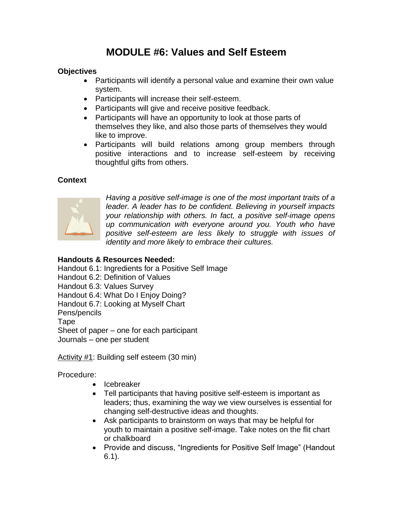# **MODULE #6: Values and Self Esteem**

## **Objectives**

- Participants will identify a personal value and examine their own value system.
- Participants will increase their self-esteem.
- Participants will give and receive positive feedback.
- Participants will have an opportunity to look at those parts of themselves they like, and also those parts of themselves they would like to improve.
- Participants will build relations among group members through positive interactions and to increase self-esteem by receiving thoughtful gifts from others.

## **Context**



*Having a positive self-image is one of the most important traits of a leader. A leader has to be confident. Believing in yourself impacts your relationship with others. In fact, a positive self-image opens up communication with everyone around you. Youth who have positive self-esteem are less likely to struggle with issues of identity and more likely to embrace their cultures.*

## **Handouts & Resources Needed:**

Handout 6.1: Ingredients for a Positive Self Image

Handout 6.2: Definition of Values

Handout 6.3: Values Survey

Handout 6.4: What Do I Enjoy Doing?

Handout 6.7: Looking at Myself Chart

Pens/pencils

**Tape** 

Sheet of paper – one for each participant

Journals – one per student

Activity #1: Building self esteem (30 min)

- Icebreaker
- Tell participants that having positive self-esteem is important as leaders; thus, examining the way we view ourselves is essential for changing self-destructive ideas and thoughts.
- Ask participants to brainstorm on ways that may be helpful for youth to maintain a positive self-image. Take notes on the flit chart or chalkboard
- Provide and discuss, "Ingredients for Positive Self Image" (Handout 6.1).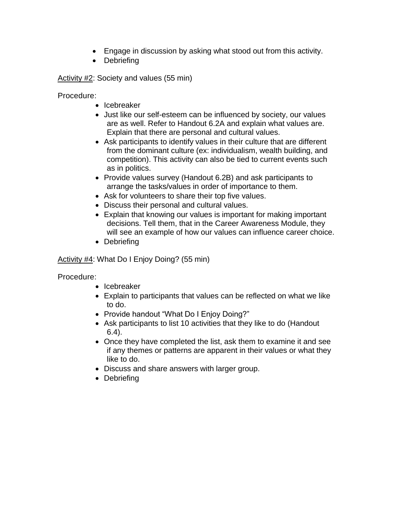- Engage in discussion by asking what stood out from this activity.
- Debriefing

Activity #2: Society and values (55 min)

Procedure:

- Icebreaker
- Just like our self-esteem can be influenced by society, our values are as well. Refer to Handout 6.2A and explain what values are. Explain that there are personal and cultural values.
- Ask participants to identify values in their culture that are different from the dominant culture (ex: individualism, wealth building, and competition). This activity can also be tied to current events such as in politics.
- Provide values survey (Handout 6.2B) and ask participants to arrange the tasks/values in order of importance to them.
- Ask for volunteers to share their top five values.
- Discuss their personal and cultural values.
- Explain that knowing our values is important for making important decisions. Tell them, that in the Career Awareness Module, they will see an example of how our values can influence career choice.
- Debriefing

Activity #4: What Do I Enjoy Doing? (55 min)

- Icebreaker
- Explain to participants that values can be reflected on what we like to do.
- Provide handout "What Do I Enjoy Doing?"
- Ask participants to list 10 activities that they like to do (Handout 6.4).
- Once they have completed the list, ask them to examine it and see if any themes or patterns are apparent in their values or what they like to do.
- Discuss and share answers with larger group.
- Debriefing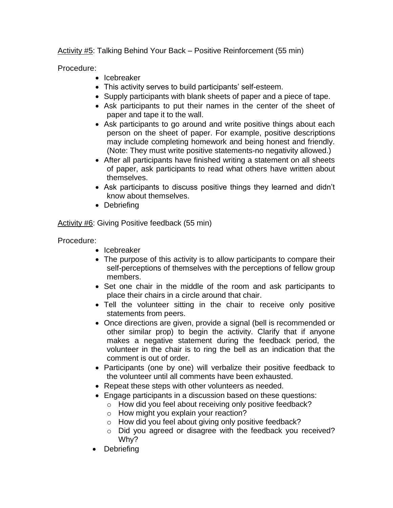Activity #5: Talking Behind Your Back – Positive Reinforcement (55 min)

Procedure:

- Icebreaker
- This activity serves to build participants' self-esteem.
- Supply participants with blank sheets of paper and a piece of tape.
- Ask participants to put their names in the center of the sheet of paper and tape it to the wall.
- Ask participants to go around and write positive things about each person on the sheet of paper. For example, positive descriptions may include completing homework and being honest and friendly. (Note: They must write positive statements-no negativity allowed.)
- After all participants have finished writing a statement on all sheets of paper, ask participants to read what others have written about themselves.
- Ask participants to discuss positive things they learned and didn"t know about themselves.
- Debriefing

Activity #6: Giving Positive feedback (55 min)

- Icebreaker
- The purpose of this activity is to allow participants to compare their self-perceptions of themselves with the perceptions of fellow group members.
- Set one chair in the middle of the room and ask participants to place their chairs in a circle around that chair.
- Tell the volunteer sitting in the chair to receive only positive statements from peers.
- Once directions are given, provide a signal (bell is recommended or other similar prop) to begin the activity. Clarify that if anyone makes a negative statement during the feedback period, the volunteer in the chair is to ring the bell as an indication that the comment is out of order.
- Participants (one by one) will verbalize their positive feedback to the volunteer until all comments have been exhausted.
- Repeat these steps with other volunteers as needed.
- Engage participants in a discussion based on these questions:
	- o How did you feel about receiving only positive feedback?
	- o How might you explain your reaction?
	- o How did you feel about giving only positive feedback?
	- o Did you agreed or disagree with the feedback you received? Why?
- **Debriefing**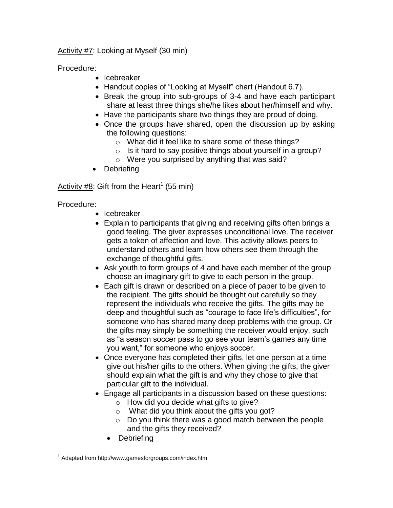Activity #7: Looking at Myself (30 min)

Procedure:

- Icebreaker
- Handout copies of "Looking at Myself" chart (Handout 6.7).
- Break the group into sub-groups of 3-4 and have each participant share at least three things she/he likes about her/himself and why.
- Have the participants share two things they are proud of doing.
- Once the groups have shared, open the discussion up by asking the following questions:
	- o What did it feel like to share some of these things?
	- o Is it hard to say positive things about yourself in a group?
	- o Were you surprised by anything that was said?
- Debriefing

Activity  $#8$ : Gift from the Heart<sup>1</sup> (55 min)

- Icebreaker
- Explain to participants that giving and receiving gifts often brings a good feeling. The giver expresses unconditional love. The receiver gets a token of affection and love. This activity allows peers to understand others and learn how others see them through the exchange of thoughtful gifts.
- Ask youth to form groups of 4 and have each member of the group choose an imaginary gift to give to each person in the group.
- Each gift is drawn or described on a piece of paper to be given to the recipient. The gifts should be thought out carefully so they represent the individuals who receive the gifts. The gifts may be deep and thoughtful such as "courage to face life"s difficulties", for someone who has shared many deep problems with the group. Or the gifts may simply be something the receiver would enjoy, such as "a season soccer pass to go see your team"s games any time you want," for someone who enjoys soccer.
- Once everyone has completed their gifts, let one person at a time give out his/her gifts to the others. When giving the gifts, the giver should explain what the gift is and why they chose to give that particular gift to the individual.
- Engage all participants in a discussion based on these questions:
	- o How did you decide what gifts to give?
	- $\circ$  What did you think about the gifts you got?
	- o Do you think there was a good match between the people and the gifts they received?
	- Debriefing

<sup>&</sup>lt;u>.</u> <sup>1</sup> Adapted from <http://www.gamesforgroups.com/index.htm>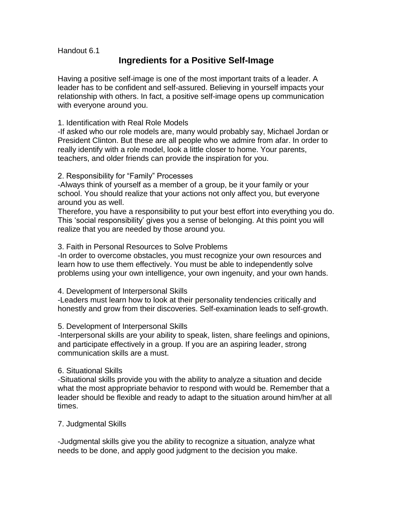Handout 6.1

## **Ingredients for a Positive Self-Image**

Having a positive self-image is one of the most important traits of a leader. A leader has to be confident and self-assured. Believing in yourself impacts your relationship with others. In fact, a positive self-image opens up communication with everyone around you.

#### 1. Identification with Real Role Models

-If asked who our role models are, many would probably say, Michael Jordan or President Clinton. But these are all people who we admire from afar. In order to really identify with a role model, look a little closer to home. Your parents, teachers, and older friends can provide the inspiration for you.

#### 2. Responsibility for "Family" Processes

-Always think of yourself as a member of a group, be it your family or your school. You should realize that your actions not only affect you, but everyone around you as well.

Therefore, you have a responsibility to put your best effort into everything you do. This "social responsibility" gives you a sense of belonging. At this point you will realize that you are needed by those around you.

#### 3. Faith in Personal Resources to Solve Problems

-In order to overcome obstacles, you must recognize your own resources and learn how to use them effectively. You must be able to independently solve problems using your own intelligence, your own ingenuity, and your own hands.

#### 4. Development of Interpersonal Skills

-Leaders must learn how to look at their personality tendencies critically and honestly and grow from their discoveries. Self-examination leads to self-growth.

#### 5. Development of Interpersonal Skills

-Interpersonal skills are your ability to speak, listen, share feelings and opinions, and participate effectively in a group. If you are an aspiring leader, strong communication skills are a must.

#### 6. Situational Skills

-Situational skills provide you with the ability to analyze a situation and decide what the most appropriate behavior to respond with would be. Remember that a leader should be flexible and ready to adapt to the situation around him/her at all times.

#### 7. Judgmental Skills

-Judgmental skills give you the ability to recognize a situation, analyze what needs to be done, and apply good judgment to the decision you make.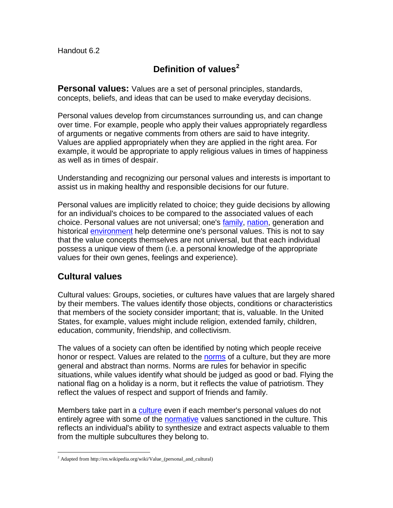## **Definition of values<sup>2</sup>**

**Personal values:** Values are a set of personal principles, standards, concepts, beliefs, and ideas that can be used to make everyday decisions.

Personal values develop from circumstances surrounding us, and can change over time. For example, people who apply their values appropriately regardless of arguments or negative comments from others are said to have integrity. Values are applied appropriately when they are applied in the right area. For example, it would be appropriate to apply religious values in times of happiness as well as in times of despair.

Understanding and recognizing our personal values and interests is important to assist us in making healthy and responsible decisions for our future.

Personal values are implicitly related to choice; they guide decisions by allowing for an individual's choices to be compared to the associated values of each choice. Personal values are not universal; one's [family,](http://en.wikipedia.org/wiki/Family) [nation,](http://en.wikipedia.org/wiki/Nation) generation and historical [environment](http://en.wikipedia.org/wiki/Social_environment) help determine one's personal values. This is not to say that the value concepts themselves are not universal, but that each individual possess a unique view of them (i.e. a personal knowledge of the appropriate values for their own genes, feelings and experience).

## **Cultural values**

<u>.</u>

Cultural values: Groups, societies, or cultures have values that are largely shared by their members. The values identify those objects, conditions or characteristics that members of the society consider important; that is, valuable. In the United States, for example, values might include religion, extended family, children, education, community, friendship, and collectivism.

The values of a society can often be identified by noting which people receive honor or respect. Values are related to the [norms](http://en.wikipedia.org/wiki/Norm_%28sociology%29) of a culture, but they are more general and abstract than norms. Norms are rules for behavior in specific situations, while values identify what should be judged as good or bad. Flying the national flag on a holiday is a norm, but it reflects the value of patriotism. They reflect the values of respect and support of friends and family.

Members take part in a [culture](http://en.wikipedia.org/wiki/Culture) even if each member's personal values do not entirely agree with some of the [normative](http://en.wikipedia.org/wiki/Normative) values sanctioned in the culture. This reflects an individual's ability to synthesize and extract aspects valuable to them from the multiple subcultures they belong to.

<sup>&</sup>lt;sup>2</sup> Adapted from http://en.wikipedia.org/wiki/Value\_(personal\_and\_cultural)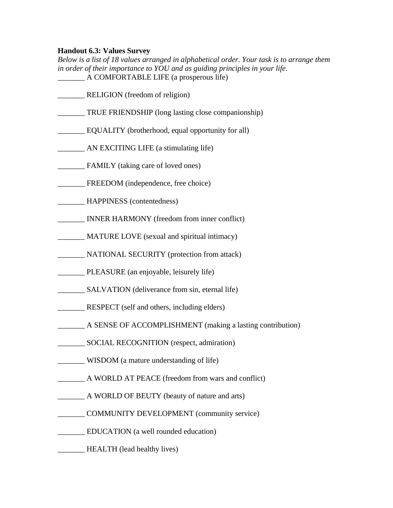#### **Handout 6.3: Values Survey**

*Below is a list of 18 values arranged in alphabetical order. Your task is to arrange them in order of their importance to YOU and as guiding principles in your life.* \_\_\_\_\_\_\_ A COMFORTABLE LIFE (a prosperous life)

- RELIGION (freedom of religion)
- \_\_\_\_\_\_\_ TRUE FRIENDSHIP (long lasting close companionship)
- \_\_\_\_\_\_\_ EQUALITY (brotherhood, equal opportunity for all)
- \_\_\_\_\_\_\_ AN EXCITING LIFE (a stimulating life)
- \_\_\_\_\_\_\_ FAMILY (taking care of loved ones)
- \_\_\_\_\_\_\_ FREEDOM (independence, free choice)
- \_\_\_\_\_\_\_ HAPPINESS (contentedness)
- \_\_\_\_\_\_\_ INNER HARMONY (freedom from inner conflict)
- \_\_\_\_\_\_\_ MATURE LOVE (sexual and spiritual intimacy)
- \_\_\_\_\_\_\_ NATIONAL SECURITY (protection from attack)
- \_\_\_\_\_\_\_ PLEASURE (an enjoyable, leisurely life)
- SALVATION (deliverance from sin, eternal life)
- RESPECT (self and others, including elders)
- A SENSE OF ACCOMPLISHMENT (making a lasting contribution)
- \_\_\_\_\_\_\_ SOCIAL RECOGNITION (respect, admiration)
- \_\_\_\_\_\_\_ WISDOM (a mature understanding of life)
- \_\_\_\_\_\_\_ A WORLD AT PEACE (freedom from wars and conflict)
- A WORLD OF BEUTY (beauty of nature and arts)
- \_\_\_\_\_\_\_ COMMUNITY DEVELOPMENT (community service)
- EDUCATION (a well rounded education)
- **EXALTH** (lead healthy lives)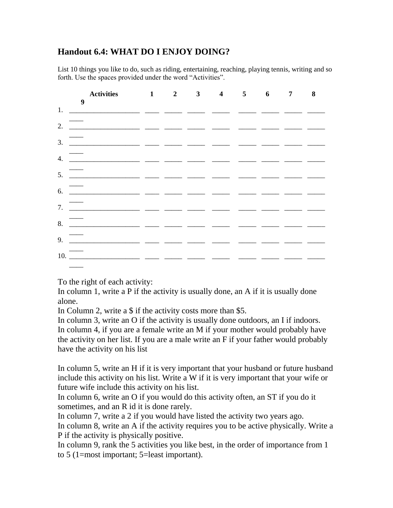## **Handout 6.4: WHAT DO I ENJOY DOING?**

List 10 things you like to do, such as riding, entertaining, reaching, playing tennis, writing and so forth. Use the spaces provided under the word "Activities".

| Activities 1 2 3 4 5 6 7 8<br>$\overline{\phantom{a}}$                                                                                                                                                                                                                                                                                                                                                                                        |  |  |  |  |
|-----------------------------------------------------------------------------------------------------------------------------------------------------------------------------------------------------------------------------------------------------------------------------------------------------------------------------------------------------------------------------------------------------------------------------------------------|--|--|--|--|
|                                                                                                                                                                                                                                                                                                                                                                                                                                               |  |  |  |  |
|                                                                                                                                                                                                                                                                                                                                                                                                                                               |  |  |  |  |
| 3. $\frac{1}{\sqrt{1-\frac{1}{2}}}\frac{1}{\sqrt{1-\frac{1}{2}}}\frac{1}{\sqrt{1-\frac{1}{2}}}\frac{1}{\sqrt{1-\frac{1}{2}}}\frac{1}{\sqrt{1-\frac{1}{2}}}\frac{1}{\sqrt{1-\frac{1}{2}}}\frac{1}{\sqrt{1-\frac{1}{2}}}\frac{1}{\sqrt{1-\frac{1}{2}}}\frac{1}{\sqrt{1-\frac{1}{2}}}\frac{1}{\sqrt{1-\frac{1}{2}}}\frac{1}{\sqrt{1-\frac{1}{2}}}\frac{1}{\sqrt{1-\frac{1}{2}}}\frac{1}{\sqrt{1-\frac{1}{2}}}\frac{1}{\sqrt{1$                   |  |  |  |  |
|                                                                                                                                                                                                                                                                                                                                                                                                                                               |  |  |  |  |
|                                                                                                                                                                                                                                                                                                                                                                                                                                               |  |  |  |  |
|                                                                                                                                                                                                                                                                                                                                                                                                                                               |  |  |  |  |
| $\frac{1}{2}$                                                                                                                                                                                                                                                                                                                                                                                                                                 |  |  |  |  |
| 8. $\overline{\phantom{a}}$ . $\overline{\phantom{a}}$ . $\overline{\phantom{a}}$ . $\overline{\phantom{a}}$ . $\overline{\phantom{a}}$ . $\overline{\phantom{a}}$ . $\overline{\phantom{a}}$ . $\overline{\phantom{a}}$ . $\overline{\phantom{a}}$ . $\overline{\phantom{a}}$ . $\overline{\phantom{a}}$ . $\overline{\phantom{a}}$ . $\overline{\phantom{a}}$ . $\overline{\phantom{a}}$ . $\overline{\phantom{a}}$ . $\overline{\phantom{$ |  |  |  |  |
|                                                                                                                                                                                                                                                                                                                                                                                                                                               |  |  |  |  |
|                                                                                                                                                                                                                                                                                                                                                                                                                                               |  |  |  |  |
| the contract of the contract of the contract of                                                                                                                                                                                                                                                                                                                                                                                               |  |  |  |  |

To the right of each activity:

In column 1, write a P if the activity is usually done, an A if it is usually done alone.

In Column 2, write a \$ if the activity costs more than \$5.

In column 3, write an O if the activity is usually done outdoors, an I if indoors. In column 4, if you are a female write an M if your mother would probably have the activity on her list. If you are a male write an F if your father would probably have the activity on his list

In column 5, write an H if it is very important that your husband or future husband include this activity on his list. Write a W if it is very important that your wife or future wife include this activity on his list.

In column 6, write an O if you would do this activity often, an ST if you do it sometimes, and an R id it is done rarely.

In column 7, write a 2 if you would have listed the activity two years ago.

In column 8, write an A if the activity requires you to be active physically. Write a P if the activity is physically positive.

In column 9, rank the 5 activities you like best, in the order of importance from 1 to 5 (1=most important; 5=least important).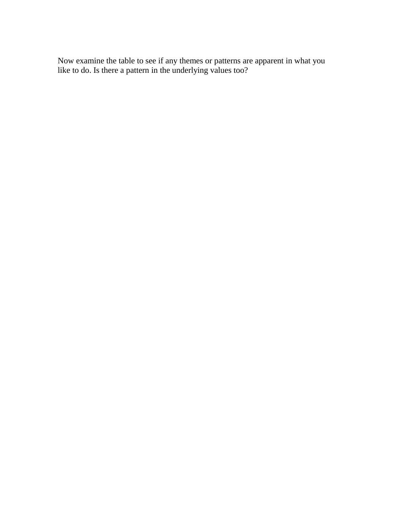Now examine the table to see if any themes or patterns are apparent in what you like to do. Is there a pattern in the underlying values too?